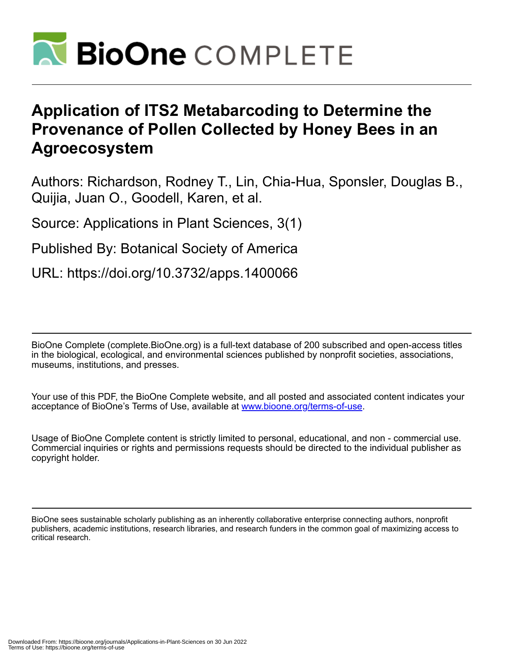

# **Application of ITS2 Metabarcoding to Determine the Provenance of Pollen Collected by Honey Bees in an Agroecosystem**

Authors: Richardson, Rodney T., Lin, Chia-Hua, Sponsler, Douglas B., Quijia, Juan O., Goodell, Karen, et al.

Source: Applications in Plant Sciences, 3(1)

Published By: Botanical Society of America

URL: https://doi.org/10.3732/apps.1400066

BioOne Complete (complete.BioOne.org) is a full-text database of 200 subscribed and open-access titles in the biological, ecological, and environmental sciences published by nonprofit societies, associations, museums, institutions, and presses.

Your use of this PDF, the BioOne Complete website, and all posted and associated content indicates your acceptance of BioOne's Terms of Use, available at www.bioone.org/terms-of-use.

Usage of BioOne Complete content is strictly limited to personal, educational, and non - commercial use. Commercial inquiries or rights and permissions requests should be directed to the individual publisher as copyright holder.

BioOne sees sustainable scholarly publishing as an inherently collaborative enterprise connecting authors, nonprofit publishers, academic institutions, research libraries, and research funders in the common goal of maximizing access to critical research.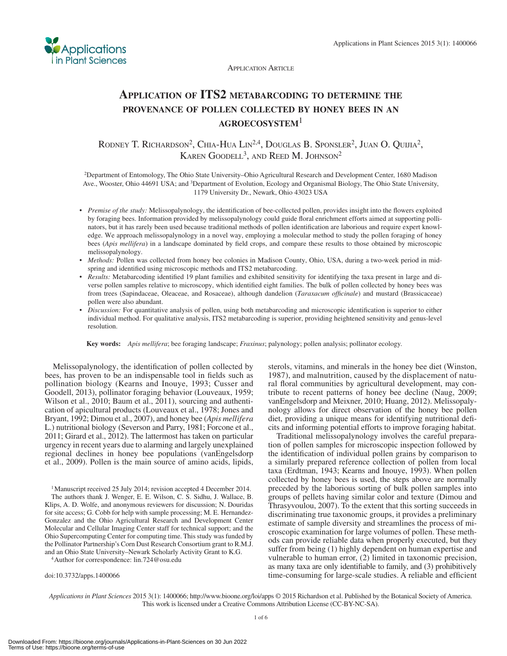

APPLICATION ARTICLE

# **APPLICATION OF ITS2 METABARCODING TO DETERMINE THE PROVENANCE OF POLLEN COLLECTED BY HONEY BEES IN AN AGROECOSYSTEM**<sup>1</sup>

RODNEY T. RICHARDSON<sup>2</sup>, CHIA-HUA LIN<sup>2,4</sup>, DOUGLAS B. SPONSLER<sup>2</sup>, JUAN O. QUIJIA<sup>2</sup>, KAREN GOODELL<sup>3</sup>, AND REED M. JOHNSON<sup>2</sup>

2 Department of Entomology, The Ohio State University–Ohio Agricultural Research and Development Center, 1680 Madison Ave., Wooster, Ohio 44691 USA; and <sup>3</sup>Department of Evolution, Ecology and Organismal Biology, The Ohio State University, 1179 University Dr., Newark, Ohio 43023 USA

- Premise of the study: Melissopalynology, the identification of bee-collected pollen, provides insight into the flowers exploited by foraging bees. Information provided by melissopalynology could guide floral enrichment efforts aimed at supporting pollinators, but it has rarely been used because traditional methods of pollen identification are laborious and require expert knowledge. We approach melissopalynology in a novel way, employing a molecular method to study the pollen foraging of honey bees (Apis mellifera) in a landscape dominated by field crops, and compare these results to those obtained by microscopic melissopalynology.
- *Methods:* Pollen was collected from honey bee colonies in Madison County, Ohio, USA, during a two-week period in midspring and identified using microscopic methods and ITS2 metabarcoding.
- *Results:* Metabarcoding identified 19 plant families and exhibited sensitivity for identifying the taxa present in large and diverse pollen samples relative to microscopy, which identified eight families. The bulk of pollen collected by honey bees was from trees (Sapindaceae, Oleaceae, and Rosaceae), although dandelion (*Taraxacum officinale*) and mustard (Brassicaceae) pollen were also abundant.
- *Discussion:* For quantitative analysis of pollen, using both metabarcoding and microscopic identification is superior to either individual method. For qualitative analysis, ITS2 metabarcoding is superior, providing heightened sensitivity and genus-level resolution.

 **Key words:** *Apis mellifera* ; bee foraging landscape; *Fraxinus* ; palynology; pollen analysis; pollinator ecology.

Melissopalynology, the identification of pollen collected by bees, has proven to be an indispensable tool in fields such as pollination biology (Kearns and Inouye, 1993; Cusser and Goodell, 2013), pollinator foraging behavior (Louveaux, 1959; Wilson et al., 2010; Baum et al., 2011), sourcing and authentication of apicultural products (Louveaux et al., 1978; Jones and Bryant, 1992; Dimou et al., 2007), and honey bee (Apis mellifera) L.) nutritional biology (Severson and Parry, 1981; Forcone et al., 2011; Girard et al., 2012). The lattermost has taken on particular urgency in recent years due to alarming and largely unexplained regional declines in honey bee populations ( vanEngelsdorp et al., 2009 ). Pollen is the main source of amino acids, lipids,

1 Manuscript received 25 July 2014; revision accepted 4 December 2014. The authors thank J. Wenger, E. E. Wilson, C. S. Sidhu, J. Wallace, B. Klips, A. D. Wolfe, and anonymous reviewers for discussion; N. Douridas for site access; G. Cobb for help with sample processing; M. E. Hernandez-Gonzalez and the Ohio Agricultural Research and Development Center Molecular and Cellular Imaging Center staff for technical support; and the Ohio Supercomputing Center for computing time. This study was funded by the Pollinator Partnership's Corn Dust Research Consortium grant to R.M.J. and an Ohio State University–Newark Scholarly Activity Grant to K.G. 4 Author for correspondence: lin.724@osu.edu

sterols, vitamins, and minerals in the honey bee diet ( Winston, 1987), and malnutrition, caused by the displacement of natural floral communities by agricultural development, may contribute to recent patterns of honey bee decline (Naug, 2009; vanEngelsdorp and Meixner, 2010; Huang, 2012). Melissopalynology allows for direct observation of the honey bee pollen diet, providing a unique means for identifying nutritional deficits and informing potential efforts to improve foraging habitat.

 Traditional melissopalynology involves the careful preparation of pollen samples for microscopic inspection followed by the identification of individual pollen grains by comparison to a similarly prepared reference collection of pollen from local taxa (Erdtman, 1943; Kearns and Inouye, 1993). When pollen collected by honey bees is used, the steps above are normally preceded by the laborious sorting of bulk pollen samples into groups of pellets having similar color and texture ( Dimou and Thrasyvoulou, 2007). To the extent that this sorting succeeds in discriminating true taxonomic groups, it provides a preliminary estimate of sample diversity and streamlines the process of microscopic examination for large volumes of pollen. These methods can provide reliable data when properly executed, but they suffer from being (1) highly dependent on human expertise and vulnerable to human error, (2) limited in taxonomic precision, as many taxa are only identifiable to family, and (3) prohibitively time-consuming for large-scale studies. A reliable and efficient

*Applications in Plant Sciences* 2015 3 ( 1 ): 1400066; http://www.bioone.org/loi/apps © 2015 Richardson et al. Published by the Botanical Society of America. This work is licensed under a Creative Commons Attribution License (CC-BY-NC-SA).

doi:10.3732/apps.1400066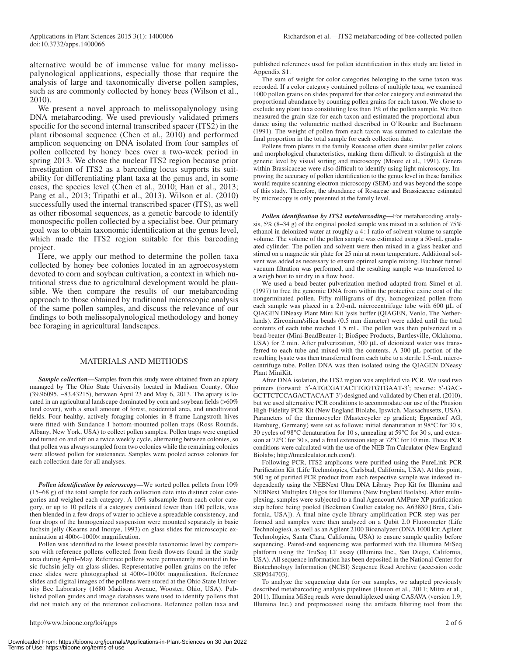We present a novel approach to melissopalynology using DNA metabarcoding. We used previously validated primers specific for the second internal transcribed spacer (ITS2) in the plant ribosomal sequence (Chen et al., 2010) and performed amplicon sequencing on DNA isolated from four samples of pollen collected by honey bees over a two-week period in spring 2013. We chose the nuclear ITS2 region because prior investigation of ITS2 as a barcoding locus supports its suitability for differentiating plant taxa at the genus and, in some cases, the species level (Chen et al., 2010; Han et al., 2013; Pang et al., 2013; Tripathi et al., 2013). Wilson et al. (2010) successfully used the internal transcribed spacer (ITS), as well as other ribosomal sequences, as a genetic barcode to identify monospecific pollen collected by a specialist bee. Our primary goal was to obtain taxonomic identification at the genus level, which made the ITS2 region suitable for this barcoding project.

 Here, we apply our method to determine the pollen taxa collected by honey bee colonies located in an agroecosystem devoted to corn and soybean cultivation, a context in which nutritional stress due to agricultural development would be plausible. We then compare the results of our metabarcoding approach to those obtained by traditional microscopic analysis of the same pollen samples, and discuss the relevance of our findings to both melissopalynological methodology and honey bee foraging in agricultural landscapes.

## MATERIALS AND METHODS

**Sample collection—Samples from this study were obtained from an apiary** managed by The Ohio State University located in Madison County, Ohio (39.96095, −83.43215), between April 23 and May 6, 2013. The apiary is located in an agricultural landscape dominated by corn and soybean fields (>60% land cover), with a small amount of forest, residential area, and uncultivated fields. Four healthy, actively foraging colonies in 8-frame Langstroth hives were fitted with Sundance I bottom-mounted pollen traps (Ross Rounds, Albany, New York, USA) to collect pollen samples. Pollen traps were emptied and turned on and off on a twice weekly cycle, alternating between colonies, so that pollen was always sampled from two colonies while the remaining colonies were allowed pollen for sustenance. Samples were pooled across colonies for each collection date for all analyses.

*Pollen identification by microscopy*—We sorted pollen pellets from 10% (15–68 g) of the total sample for each collection date into distinct color categories and weighed each category. A 10% subsample from each color category, or up to 10 pellets if a category contained fewer than 100 pellets, was then blended in a few drops of water to achieve a spreadable consistency, and four drops of the homogenized suspension were mounted separately in basic fuchsin jelly (Kearns and Inouye, 1993) on glass slides for microscopic examination at  $400\times -1000\times$  magnification.

Pollen was identified to the lowest possible taxonomic level by comparison with reference pollens collected from fresh flowers found in the study area during April–May. Reference pollens were permanently mounted in basic fuchsin jelly on glass slides. Representative pollen grains on the reference slides were photographed at  $400\times-1000\times$  magnification. Reference slides and digital images of the pollens were stored at the Ohio State University Bee Laboratory (1680 Madison Avenue, Wooster, Ohio, USA). Published pollen guides and image databases were used to identify pollens that did not match any of the reference collections. Reference pollen taxa and

published references used for pollen identification in this study are listed in Appendix S1.

 The sum of weight for color categories belonging to the same taxon was recorded. If a color category contained pollens of multiple taxa, we examined 1000 pollen grains on slides prepared for that color category and estimated the proportional abundance by counting pollen grains for each taxon. We chose to exclude any plant taxa constituting less than 1% of the pollen sample. We then measured the grain size for each taxon and estimated the proportional abundance using the volumetric method described in O'Rourke and Buchmann (1991) . The weight of pollen from each taxon was summed to calculate the final proportion in the total sample for each collection date.

 Pollens from plants in the family Rosaceae often share similar pellet colors and morphological characteristics, making them difficult to distinguish at the generic level by visual sorting and microscopy (Moore et al., 1991). Genera within Brassicaceae were also difficult to identify using light microscopy. Improving the accuracy of pollen identification to the genus level in these families would require scanning electron microscopy (SEM) and was beyond the scope of this study. Therefore, the abundance of Rosaceae and Brassicaceae estimated by microscopy is only presented at the family level.

*Pollen identification by ITS2 metabarcoding*—For metabarcoding analysis, 5% (8–34 g) of the original pooled sample was mixed in a solution of 75% ethanol in deionized water at roughly a 4 : 1 ratio of solvent volume to sample volume. The volume of the pollen sample was estimated using a 50-mL graduated cylinder. The pollen and solvent were then mixed in a glass beaker and stirred on a magnetic stir plate for 25 min at room temperature. Additional solvent was added as necessary to ensure optimal sample mixing. Buchner funnel vacuum filtration was performed, and the resulting sample was transferred to a weigh boat to air dry in a flow hood.

 We used a bead-beater pulverization method adapted from Simel et al. (1997) to free the genomic DNA from within the protective exine coat of the nongerminated pollen. Fifty milligrams of dry, homogenized pollen from each sample was placed in a 2.0-mL microcentrifuge tube with 600 μL of QIAGEN DNeasy Plant Mini Kit lysis buffer (QIAGEN, Venlo, The Netherlands). Zirconium/silica beads (0.5 mm diameter) were added until the total contents of each tube reached 1.5 mL. The pollen was then pulverized in a bead-beater (Mini-BeadBeater-1; BioSpec Products, Bartlesville, Oklahoma, USA) for 2 min. After pulverization,  $300 \mu L$  of deionized water was transferred to each tube and mixed with the contents. A 300-μL portion of the resulting lysate was then transferred from each tube to a sterile 1.5-mL microcentrifuge tube. Pollen DNA was then isolated using the QIAGEN DNeasy Plant MiniKit.

After DNA isolation, the ITS2 region was amplified via PCR. We used two primers (forward: 5'-ATGCGATACTTGGTGTGAAT-3'; reverse: 5'-GAC-GCTTCTCCAGACTACAAT-3') designed and validated by Chen et al. (2010), but we used alternative PCR conditions to accommodate our use of the Phusion High-Fidelity PCR Kit (New England Biolabs, Ipswich, Massachusetts, USA). Parameters of the thermocycler (Mastercycler ep gradient; Eppendorf AG, Hamburg, Germany) were set as follows: initial denaturation at  $98^{\circ}$ C for 30 s, 30 cycles of 98°C denaturation for 10 s, annealing at 59°C for 30 s, and extension at  $72^{\circ}$ C for 30 s, and a final extension step at  $72^{\circ}$ C for 10 min. These PCR conditions were calculated with the use of the NEB Tm Calculator (New England Biolabs; http://tmcalculator.neb.com/).

Following PCR, ITS2 amplicons were purified using the PureLink PCR Purification Kit (Life Technologies, Carlsbad, California, USA). At this point, 500 ng of purified PCR product from each respective sample was indexed independently using the NEBNext Ultra DNA Library Prep Kit for Illumina and NEBNext Multiplex Oligos for Illumina (New England Biolabs). After multiplexing, samples were subjected to a final Agencourt AMPure XP purification step before being pooled (Beckman Coulter catalog no. A63880 [Brea, California, USA]). A final nine-cycle library amplification PCR step was performed and samples were then analyzed on a Qubit 2.0 Fluorometer (Life Technologies), as well as an Agilent 2100 Bioanalyzer (DNA 1000 kit; Agilent Technologies, Santa Clara, California, USA) to ensure sample quality before sequencing. Paired-end sequencing was performed with the Illumina MiSeq platform using the TruSeq LT assay (Illumina Inc., San Diego, California, USA). All sequence information has been deposited in the National Center for Biotechnology Information (NCBI) Sequence Read Archive (accession code SRP044703).

 To analyze the sequencing data for our samples, we adapted previously described metabarcoding analysis pipelines (Huson et al., 2011; Mitra et al., 2011). Illumina MiSeq reads were demultiplexed using CASAVA (version 1.9; Illumina Inc.) and preprocessed using the artifacts filtering tool from the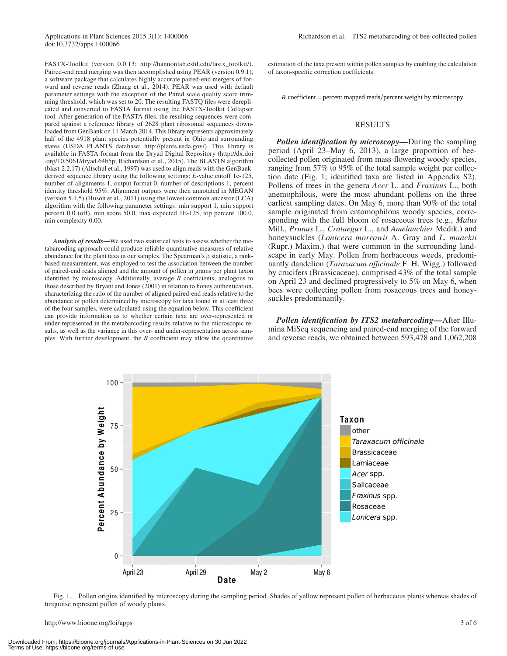FASTX-Toolkit (version 0.0.13; http://hannonlab.cshl.edu/fastx\_toolkit/ ). Paired-end read merging was then accomplished using PEAR (version 0.9.1), a software package that calculates highly accurate paired-end mergers of forward and reverse reads (Zhang et al., 2014). PEAR was used with default parameter settings with the exception of the Phred scale quality score trimming threshold, which was set to 20. The resulting FASTQ files were dereplicated and converted to FASTA format using the FASTX-Toolkit Collapser tool. After generation of the FASTA files, the resulting sequences were compared against a reference library of 2628 plant ribosomal sequences downloaded from GenBank on 11 March 2014. This library represents approximately half of the 4918 plant species potentially present in Ohio and surrounding states (USDA PLANTS database; http://plants.usda.gov/). This library is available in FASTA format from the Dryad Digital Repository (http://dx.doi .org/10.5061/dryad.64b5p; Richardson et al., 2015 ). The BLASTN algorithm (blast-2.2.17) ( Altschul et al., 1997 ) was used to align reads with the GenBankderived sequence library using the following settings: *E*-value cutoff 1e-125, number of alignments 1, output format 0, number of descriptions 1, percent identity threshold 95%. Alignment outputs were then annotated in MEGAN (version  $5.1.5$ ) (Huson et al., 2011) using the lowest common ancestor (LCA) algorithm with the following parameter settings: min support 1, min support percent 0.0 (off), min score 50.0, max expected 1E-125, top percent 100.0, min complexity 0.00.

*Analysis of results* **—** We used two statistical tests to assess whether the metabarcoding approach could produce reliable quantitative measures of relative abundance for the plant taxa in our samples. The Spearman's ρ statistic, a rankbased measurement, was employed to test the association between the number of paired-end reads aligned and the amount of pollen in grams per plant taxon identified by microscopy. Additionally, average  $R$  coefficients, analogous to those described by Bryant and Jones (2001) in relation to honey authentication, characterizing the ratio of the number of aligned paired-end reads relative to the abundance of pollen determined by microscopy for taxa found in at least three of the four samples, were calculated using the equation below. This coefficient can provide information as to whether certain taxa are over-represented or under-represented in the metabarcoding results relative to the microscopic results, as well as the variance in this over- and under-representation across samples. With further development, the  $R$  coefficient may allow the quantitative

estimation of the taxa present within pollen samples by enabling the calculation of taxon-specific correction coefficients.

 $R$  coefficient = percent mapped reads/percent weight by microscopy

### RESULTS

*Pollen identification by microscopy***—** During the sampling period (April 23–May 6, 2013), a large proportion of beecollected pollen originated from mass-flowering woody species, ranging from 57% to 95% of the total sample weight per collection date (Fig. 1; identified taxa are listed in Appendix S2). Pollens of trees in the genera *Acer* L. and *Fraxinus* L., both anemophilous, were the most abundant pollens on the three earliest sampling dates. On May 6, more than 90% of the total sample originated from entomophilous woody species, corresponding with the full bloom of rosaceous trees (e.g., *Malus* Mill., *Prunus* L., *Crataegus* L., and *Amelanchier* Medik.) and honeysuckles ( *Lonicera morrowii* A. Gray and *L. maackii* (Rupr.) Maxim.) that were common in the surrounding landscape in early May. Pollen from herbaceous weeds, predominantly dandelion (*Taraxacum officinale* F. H. Wigg.) followed by crucifers (Brassicaceae), comprised 43% of the total sample on April 23 and declined progressively to 5% on May 6, when bees were collecting pollen from rosaceous trees and honeysuckles predominantly.

*Pollen identification by ITS2 metabarcoding—After Illu*mina MiSeq sequencing and paired-end merging of the forward and reverse reads, we obtained between 593,478 and 1,062,208



Fig. 1. Pollen origins identified by microscopy during the sampling period. Shades of yellow represent pollen of herbaceous plants whereas shades of turquoise represent pollen of woody plants.

http://www.bioone.org/loi/apps 3 of 6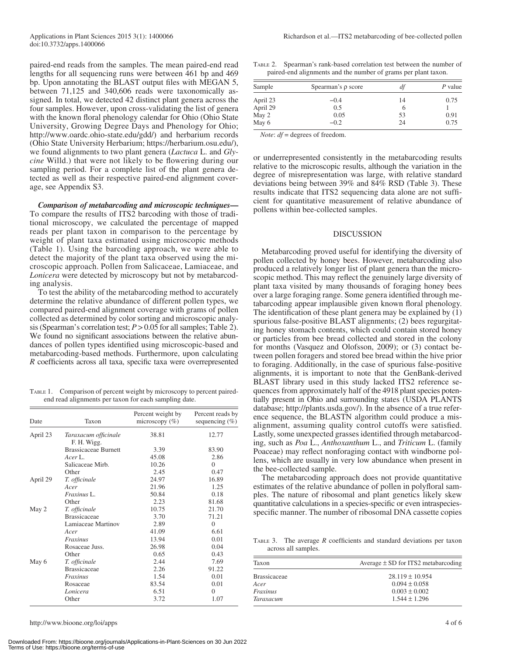paired-end reads from the samples. The mean paired-end read lengths for all sequencing runs were between 461 bp and 469 bp. Upon annotating the BLAST output files with MEGAN 5, between 71,125 and 340,606 reads were taxonomically assigned. In total, we detected 42 distinct plant genera across the four samples. However, upon cross-validating the list of genera with the known floral phenology calendar for Ohio (Ohio State University, Growing Degree Days and Phenology for Ohio; http://www.oardc.ohio-state.edu/gdd/ ) and herbarium records (Ohio State University Herbarium; https://herbarium.osu.edu/ ), we found alignments to two plant genera (*Lactuca* L. and *Glycine* Willd.) that were not likely to be flowering during our sampling period. For a complete list of the plant genera detected as well as their respective paired-end alignment coverage, see Appendix S3.

*Comparison of metabarcoding and microscopic techniques*— To compare the results of ITS2 barcoding with those of traditional microscopy, we calculated the percentage of mapped reads per plant taxon in comparison to the percentage by weight of plant taxa estimated using microscopic methods (Table 1). Using the barcoding approach, we were able to detect the majority of the plant taxa observed using the microscopic approach. Pollen from Salicaceae, Lamiaceae, and *Lonicera* were detected by microscopy but not by metabarcoding analysis.

 To test the ability of the metabarcoding method to accurately determine the relative abundance of different pollen types, we compared paired-end alignment coverage with grams of pollen collected as determined by color sorting and microscopic analysis (Spearman's correlation test;  $P > 0.05$  for all samples; Table 2). We found no significant associations between the relative abundances of pollen types identified using microscopic-based and metabarcoding-based methods. Furthermore, upon calculating *R* coefficients across all taxa, specific taxa were overrepresented

 TABLE 1. Comparison of percent weight by microscopy to percent pairedend read alignments per taxon for each sampling date.

| Date     | Taxon                               | Percent weight by<br>microscopy $(\% )$ | Percent reads by<br>sequencing $(\% )$ |
|----------|-------------------------------------|-----------------------------------------|----------------------------------------|
| April 23 | Taraxacum officinale<br>F. H. Wigg. | 38.81                                   | 12.77                                  |
|          | <b>Brassicaceae Burnett</b>         | 3.39                                    | 83.90                                  |
|          | $Acer$ L.                           | 45.08                                   | 2.86                                   |
|          | Salicaceae Mirb.                    | 10.26                                   | $\Omega$                               |
|          | Other                               | 2.45                                    | 0.47                                   |
| April 29 | T. officinale                       | 24.97                                   | 16.89                                  |
|          | Acer                                | 21.96                                   | 1.25                                   |
|          | Fraxinus L.                         | 50.84                                   | 0.18                                   |
|          | Other                               | 2.23                                    | 81.68                                  |
| May 2    | T. officinale                       | 10.75                                   | 21.70                                  |
|          | <b>Brassicaceae</b>                 | 3.70                                    | 71.21                                  |
|          | Lamiaceae Martinov                  | 2.89                                    | $\Omega$                               |
|          | Acer                                | 41.09                                   | 6.61                                   |
|          | Fraxinus                            | 13.94                                   | 0.01                                   |
|          | Rosaceae Juss.                      | 26.98                                   | 0.04                                   |
|          | Other                               | 0.65                                    | 0.43                                   |
| May 6    | T. officinale                       | 2.44                                    | 7.69                                   |
|          | <b>Brassicaceae</b>                 | 2.26                                    | 91.22                                  |
|          | Fraxinus                            | 1.54                                    | 0.01                                   |
|          | Rosaceae                            | 83.54                                   | 0.01                                   |
|          | Lonicera                            | 6.51                                    | $\Omega$                               |
|          | Other                               | 3.72                                    | 1.07                                   |

http://www.bioone.org/loi/apps

 TABLE 2. Spearman's rank-based correlation test between the number of paired-end alignments and the number of grams per plant taxon.

| Sample   | Spearman's $\rho$ score | df | P value |
|----------|-------------------------|----|---------|
| April 23 | $-0.4$                  | 14 | 0.75    |
| April 29 | 0.5                     | o  |         |
| May 2    | 0.05                    | 53 | 0.91    |
| May 6    | $-0.2$                  | 24 | 0.75    |

*Note: df* = degrees of freedom.

or underrepresented consistently in the metabarcoding results relative to the microscopic results, although the variation in the degree of misrepresentation was large, with relative standard deviations being between 39% and 84% RSD (Table 3). These results indicate that ITS2 sequencing data alone are not sufficient for quantitative measurement of relative abundance of pollens within bee-collected samples.

#### DISCUSSION

 Metabarcoding proved useful for identifying the diversity of pollen collected by honey bees. However, metabarcoding also produced a relatively longer list of plant genera than the microscopic method. This may reflect the genuinely large diversity of plant taxa visited by many thousands of foraging honey bees over a large foraging range. Some genera identified through metabarcoding appear implausible given known floral phenology. The identification of these plant genera may be explained by  $(1)$ spurious false-positive BLAST alignments; (2) bees regurgitating honey stomach contents, which could contain stored honey or particles from bee bread collected and stored in the colony for months (Vasquez and Olofsson, 2009); or (3) contact between pollen foragers and stored bee bread within the hive prior to foraging. Additionally, in the case of spurious false-positive alignments, it is important to note that the GenBank-derived BLAST library used in this study lacked ITS2 reference sequences from approximately half of the 4918 plant species potentially present in Ohio and surrounding states (USDA PLANTS database; http://plants.usda.gov/). In the absence of a true reference sequence, the BLASTN algorithm could produce a misalignment, assuming quality control cutoffs were satisfied. Lastly, some unexpected grasses identified through metabarcoding, such as *Poa* L., *Anthoxanthum* L., and *Triticum* L. (family Poaceae) may reflect nonforaging contact with windborne pollens, which are usually in very low abundance when present in the bee-collected sample.

 The metabarcoding approach does not provide quantitative estimates of the relative abundance of pollen in polyfloral samples. The nature of ribosomal and plant genetics likely skew quantitative calculations in a species-specific or even intraspeciesspecific manner. The number of ribosomal DNA cassette copies

TABLE 3. The average  $R$  coefficients and standard deviations per taxon across all samples.

| Taxon                       | Average $\pm$ SD for ITS2 metabarcoding  |  |
|-----------------------------|------------------------------------------|--|
| <b>Brassicaceae</b><br>Acer | $28.119 \pm 10.954$<br>$0.094 \pm 0.058$ |  |
| Fraxinus                    | $0.003 \pm 0.002$                        |  |
| <b>Taraxacum</b>            | $1.544 \pm 1.296$                        |  |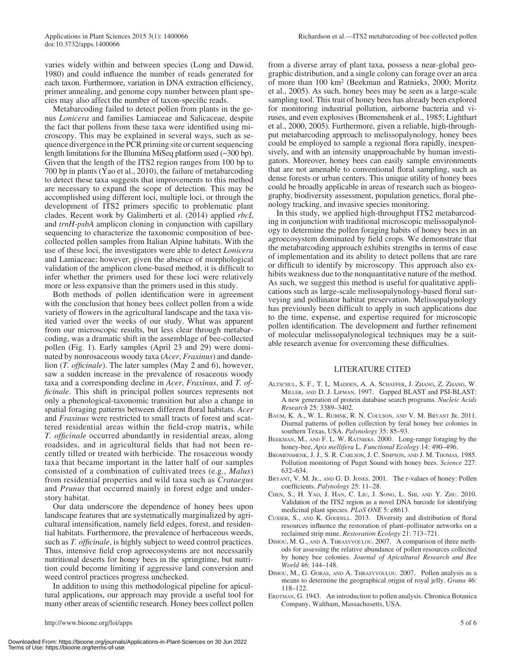varies widely within and between species (Long and Dawid, 1980) and could influence the number of reads generated for each taxon. Furthermore, variation in DNA extraction efficiency, primer annealing, and genome copy number between plant species may also affect the number of taxon-specific reads.

 Metabarcoding failed to detect pollen from plants in the genus *Lonicera* and families Lamiaceae and Salicaceae, despite the fact that pollens from these taxa were identified using microscopy. This may be explained in several ways, such as sequence divergence in the PCR priming site or current sequencing length limitations for the Illumina MiSeq platform used (~300 bp). Given that the length of the ITS2 region ranges from 100 bp to 700 bp in plants (Yao et al., 2010), the failure of metabarcoding to detect these taxa suggests that improvements to this method are necessary to expand the scope of detection. This may be accomplished using different loci, multiple loci, or through the development of ITS2 primers specific to problematic plant clades. Recent work by Galimberti et al. (2014) applied *rbcL* and *trnH-psbA* amplicon cloning in conjunction with capillary sequencing to characterize the taxonomic composition of beecollected pollen samples from Italian Alpine habitats. With the use of these loci, the investigators were able to detect *Lonicera* and Lamiaceae; however, given the absence of morphological validation of the amplicon clone-based method, it is difficult to infer whether the primers used for these loci were relatively more or less expansive than the primers used in this study.

Both methods of pollen identification were in agreement with the conclusion that honey bees collect pollen from a wide variety of flowers in the agricultural landscape and the taxa visited varied over the weeks of our study. What was apparent from our microscopic results, but less clear through metabarcoding, was a dramatic shift in the assemblage of bee-collected pollen (Fig. 1). Early samples (April 23 and 29) were dominated by nonrosaceous woody taxa ( *Acer* , *Fraxinus* ) and dandelion (*T. officinale*). The later samples (May 2 and 6), however, saw a sudden increase in the prevalence of rosaceous woody taxa and a corresponding decline in *Acer* , *Fraxinus* , and *T. officinale*. This shift in principal pollen sources represents not only a phenological-taxonomic transition but also a change in spatial foraging patterns between different floral habitats. *Acer* and *Fraxinus* were restricted to small tracts of forest and scattered residential areas within the field-crop matrix, while *T. officinale* occurred abundantly in residential areas, along roadsides, and in agricultural fields that had not been recently tilled or treated with herbicide. The rosaceous woody taxa that became important in the latter half of our samples consisted of a combination of cultivated trees (e.g., *Malus* ) from residential properties and wild taxa such as *Crataegus* and *Prunus* that occurred mainly in forest edge and understory habitat.

 Our data underscore the dependence of honey bees upon landscape features that are systematically marginalized by agricultural intensification, namely field edges, forest, and residential habitats. Furthermore, the prevalence of herbaceous weeds, such as *T. officinale*, is highly subject to weed control practices. Thus, intensive field crop agroecosystems are not necessarily nutritional deserts for honey bees in the springtime, but nutrition could become limiting if aggressive land conversion and weed control practices progress unchecked.

 In addition to using this methodological pipeline for apicultural applications, our approach may provide a useful tool for many other areas of scientific research. Honey bees collect pollen

from a diverse array of plant taxa, possess a near-global geographic distribution, and a single colony can forage over an area of more than 100 km<sup>2</sup> (Beekman and Ratnieks, 2000; Moritz et al., 2005 ). As such, honey bees may be seen as a large-scale sampling tool. This trait of honey bees has already been explored for monitoring industrial pollution, airborne bacteria and viruses, and even explosives (Bromenshenk et al., 1985; Lighthart et al., 2000, 2005). Furthermore, given a reliable, high-throughput metabarcoding approach to melissopalynology, honey bees could be employed to sample a regional flora rapidly, inexpensively, and with an intensity unapproachable by human investigators. Moreover, honey bees can easily sample environments that are not amenable to conventional floral sampling, such as dense forests or urban centers. This unique utility of honey bees could be broadly applicable in areas of research such as biogeography, biodiversity assessment, population genetics, floral phenology tracking, and invasive species monitoring.

 In this study, we applied high-throughput ITS2 metabarcoding in conjunction with traditional microscopic melissopalynology to determine the pollen foraging habits of honey bees in an agroecosystem dominated by field crops. We demonstrate that the metabarcoding approach exhibits strengths in terms of ease of implementation and its ability to detect pollens that are rare or difficult to identify by microscopy. This approach also exhibits weakness due to the nonquantitative nature of the method. As such, we suggest this method is useful for qualitative applications such as large-scale melissopalynology-based floral surveying and pollinator habitat preservation. Melissopalynology has previously been difficult to apply in such applications due to the time, expense, and expertise required for microscopic pollen identification. The development and further refinement of molecular melissopalynological techniques may be a suitable research avenue for overcoming these difficulties.

#### LITERATURE CITED

- ALTSCHUL, S. F., T. L. MADDEN, A. A. SCHAFFER, J. ZHANG, Z. ZHANG, W. MILLER, AND D. J. LIPMAN. 1997. Gapped BLAST and PSI-BLAST: A new generation of protein database search programs. *Nucleic Acids Research* 25 : 3389 – 3402 .
- BAUM, K. A., W. L. RUBINK, R. N. COULSON, AND V. M. BRYANT JR. 2011. Diurnal patterns of pollen collection by feral honey bee colonies in southern Texas, USA. Palynology 35: 85-93.
- BEEKMAN, M., AND F. L. W. RATNIEKS. 2000. Long-range foraging by the honey-bee, Apis mellifera L. Functional Ecology 14: 490-496.
- BROMENSHENK, J. J., S. R. CARLSON, J. C. SIMPSON, AND J. M. THOMAS. 1985. Pollution monitoring of Puget Sound with honey bees. *Science* 227: 632-634.
- BRYANT, V. M. JR., AND G. D. JONES. 2001. The r-values of honey: Pollen coefficients. *Palynology* 25: 11-28.
- CHEN, S., H. YAO, J. HAN, C. LIU, J. SONG, L. SHI, AND Y. ZHU. 2010. Validation of the ITS2 region as a novel DNA barcode for identifying medicinal plant species. *PLoS ONE* 5: e8613.
- CUSSER, S., AND K. GOODELL. 2013. Diversity and distribution of floral resources influence the restoration of plant–pollinator networks on a reclaimed strip mine. *Restoration Ecology* 21: 713-721.
- DIMOU, M. G., AND A. THRASYVOULOU. 2007. A comparison of three methods for assessing the relative abundance of pollen resources collected by honey bee colonies. *Journal of Apicultural Research and Bee World* 46: 144-148.
- DIMOU, M., G. GORAS, AND A. THRASYVOULOU. 2007. Pollen analysis as a means to determine the geographical origin of royal jelly. *Grana* 46: 118 – 122.
- ERDTMAN, G. 1943. An introduction to pollen analysis. Chronica Botanica Company, Waltham, Massachusetts, USA.